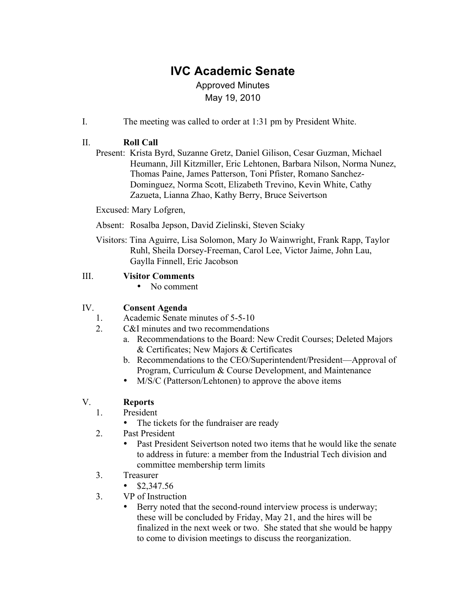# **IVC Academic Senate**

# Approved Minutes May 19, 2010

I. The meeting was called to order at 1:31 pm by President White.

## II. **Roll Call**

Present: Krista Byrd, Suzanne Gretz, Daniel Gilison, Cesar Guzman, Michael Heumann, Jill Kitzmiller, Eric Lehtonen, Barbara Nilson, Norma Nunez, Thomas Paine, James Patterson, Toni Pfister, Romano Sanchez-Dominguez, Norma Scott, Elizabeth Trevino, Kevin White, Cathy Zazueta, Lianna Zhao, Kathy Berry, Bruce Seivertson

Excused: Mary Lofgren,

- Absent: Rosalba Jepson, David Zielinski, Steven Sciaky
- Visitors: Tina Aguirre, Lisa Solomon, Mary Jo Wainwright, Frank Rapp, Taylor Ruhl, Sheila Dorsey-Freeman, Carol Lee, Victor Jaime, John Lau, Gaylla Finnell, Eric Jacobson

#### III. **Visitor Comments**

• No comment

## IV. **Consent Agenda**

- 1. Academic Senate minutes of 5-5-10
- 2. C&I minutes and two recommendations
	- a. Recommendations to the Board: New Credit Courses; Deleted Majors & Certificates; New Majors & Certificates
	- b. Recommendations to the CEO/Superintendent/President—Approval of Program, Curriculum & Course Development, and Maintenance
	- M/S/C (Patterson/Lehtonen) to approve the above items

# V. **Reports**

- 1. President
	- The tickets for the fundraiser are ready
- 2. Past President
	- Past President Seivertson noted two items that he would like the senate to address in future: a member from the Industrial Tech division and committee membership term limits
- 3. Treasurer
	- $$2,347.56$
- 3. VP of Instruction
	- Berry noted that the second-round interview process is underway; these will be concluded by Friday, May 21, and the hires will be finalized in the next week or two. She stated that she would be happy to come to division meetings to discuss the reorganization.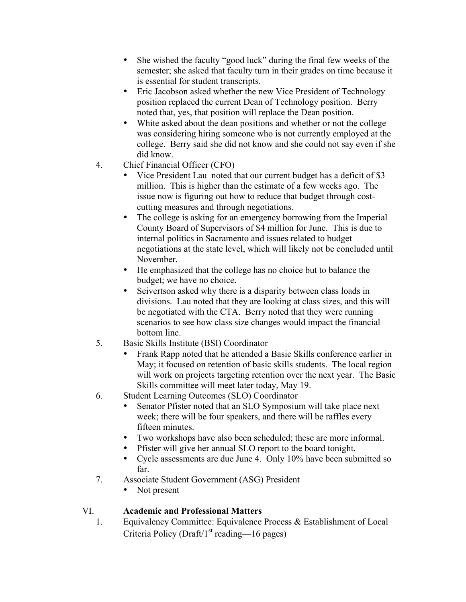- She wished the faculty "good luck" during the final few weeks of the semester; she asked that faculty turn in their grades on time because it is essential for student transcripts.
- Eric Jacobson asked whether the new Vice President of Technology position replaced the current Dean of Technology position. Berry noted that, yes, that position will replace the Dean position.
- White asked about the dean positions and whether or not the college was considering hiring someone who is not currently employed at the college. Berry said she did not know and she could not say even if she did know.
- 4. Chief Financial Officer (CFO)
	- Vice President Lau noted that our current budget has a deficit of \$3 million. This is higher than the estimate of a few weeks ago. The issue now is figuring out how to reduce that budget through costcutting measures and through negotiations.
	- The college is asking for an emergency borrowing from the Imperial County Board of Supervisors of \$4 million for June. This is due to internal politics in Sacramento and issues related to budget negotiations at the state level, which will likely not be concluded until November.
	- He emphasized that the college has no choice but to balance the budget; we have no choice.
	- Seivertson asked why there is a disparity between class loads in divisions. Lau noted that they are looking at class sizes, and this will be negotiated with the CTA. Berry noted that they were running scenarios to see how class size changes would impact the financial bottom line.
- 5. Basic Skills Institute (BSI) Coordinator
	- Frank Rapp noted that he attended a Basic Skills conference earlier in May; it focused on retention of basic skills students. The local region will work on projects targeting retention over the next year. The Basic Skills committee will meet later today, May 19.
- 6. Student Learning Outcomes (SLO) Coordinator
	- Senator Pfister noted that an SLO Symposium will take place next week; there will be four speakers, and there will be raffles every fifteen minutes.
	- Two workshops have also been scheduled; these are more informal.
	- Pfister will give her annual SLO report to the board tonight.
	- Cycle assessments are due June 4. Only 10% have been submitted so far.
- 7. Associate Student Government (ASG) President
	- Not present

## VI. **Academic and Professional Matters**

1. Equivalency Committee: Equivalence Process & Establishment of Local Criteria Policy (Draft/ $1<sup>st</sup>$  reading—16 pages)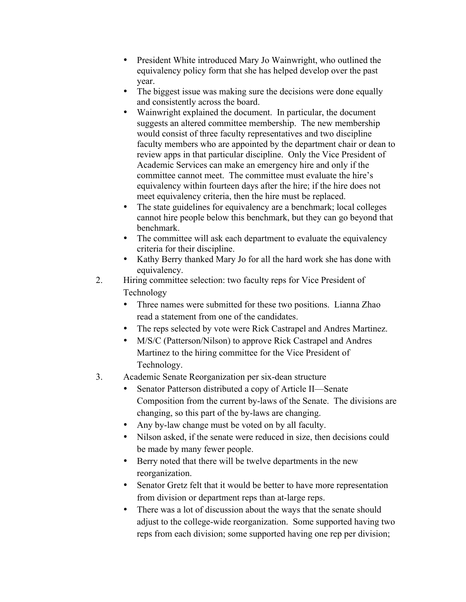- President White introduced Mary Jo Wainwright, who outlined the equivalency policy form that she has helped develop over the past year.
- The biggest issue was making sure the decisions were done equally and consistently across the board.
- Wainwright explained the document. In particular, the document suggests an altered committee membership. The new membership would consist of three faculty representatives and two discipline faculty members who are appointed by the department chair or dean to review apps in that particular discipline. Only the Vice President of Academic Services can make an emergency hire and only if the committee cannot meet. The committee must evaluate the hire's equivalency within fourteen days after the hire; if the hire does not meet equivalency criteria, then the hire must be replaced.
- The state guidelines for equivalency are a benchmark; local colleges cannot hire people below this benchmark, but they can go beyond that benchmark.
- The committee will ask each department to evaluate the equivalency criteria for their discipline.
- Kathy Berry thanked Mary Jo for all the hard work she has done with equivalency.
- 2. Hiring committee selection: two faculty reps for Vice President of Technology
	- Three names were submitted for these two positions. Lianna Zhao read a statement from one of the candidates.
	- The reps selected by vote were Rick Castrapel and Andres Martinez.
	- M/S/C (Patterson/Nilson) to approve Rick Castrapel and Andres Martinez to the hiring committee for the Vice President of Technology.
- 3. Academic Senate Reorganization per six-dean structure
	- Senator Patterson distributed a copy of Article II—Senate Composition from the current by-laws of the Senate. The divisions are changing, so this part of the by-laws are changing.
	- Any by-law change must be voted on by all faculty.
	- Nilson asked, if the senate were reduced in size, then decisions could be made by many fewer people.
	- Berry noted that there will be twelve departments in the new reorganization.
	- Senator Gretz felt that it would be better to have more representation from division or department reps than at-large reps.
	- There was a lot of discussion about the ways that the senate should adjust to the college-wide reorganization. Some supported having two reps from each division; some supported having one rep per division;